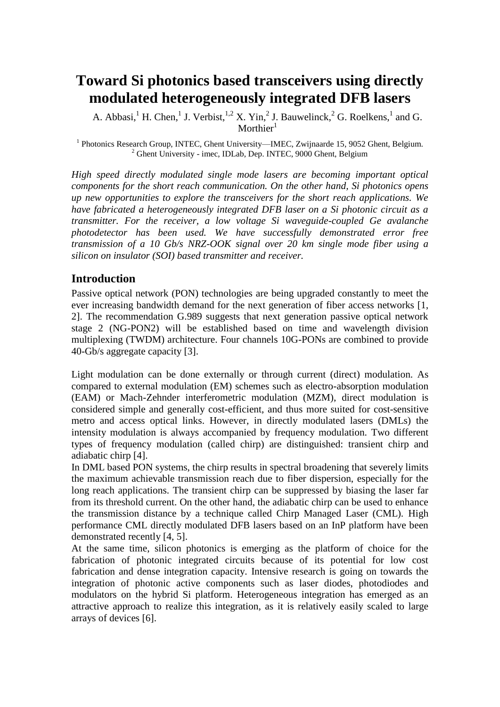# **Toward Si photonics based transceivers using directly modulated heterogeneously integrated DFB lasers**

A. Abbasi, <sup>1</sup> H. Chen, <sup>1</sup> J. Verbist, <sup>1,2</sup> X. Yin, <sup>2</sup> J. Bauwelinck, <sup>2</sup> G. Roelkens, <sup>1</sup> and G. Morthier $<sup>1</sup>$ </sup>

<sup>1</sup> Photonics Research Group, INTEC, Ghent University—IMEC, Zwijnaarde 15, 9052 Ghent, Belgium.  $2$  Ghent University - imec, IDLab, Dep. INTEC, 9000 Ghent, Belgium

*High speed directly modulated single mode lasers are becoming important optical components for the short reach communication. On the other hand, Si photonics opens up new opportunities to explore the transceivers for the short reach applications. We have fabricated a heterogeneously integrated DFB laser on a Si photonic circuit as a transmitter. For the receiver, a low voltage Si waveguide-coupled Ge avalanche photodetector has been used. We have successfully demonstrated error free transmission of a 10 Gb/s NRZ-OOK signal over 20 km single mode fiber using a silicon on insulator (SOI) based transmitter and receiver.*

## **Introduction**

Passive optical network (PON) technologies are being upgraded constantly to meet the ever increasing bandwidth demand for the next generation of fiber access networks [1, 2]. The recommendation G.989 suggests that next generation passive optical network stage 2 (NG-PON2) will be established based on time and wavelength division multiplexing (TWDM) architecture. Four channels 10G-PONs are combined to provide 40-Gb/s aggregate capacity [3].

Light modulation can be done externally or through current (direct) modulation. As compared to external modulation (EM) schemes such as electro-absorption modulation (EAM) or Mach-Zehnder interferometric modulation (MZM), direct modulation is considered simple and generally cost-efficient, and thus more suited for cost-sensitive metro and access optical links. However, in directly modulated lasers (DMLs) the intensity modulation is always accompanied by frequency modulation. Two different types of frequency modulation (called chirp) are distinguished: transient chirp and adiabatic chirp [4].

In DML based PON systems, the chirp results in spectral broadening that severely limits the maximum achievable transmission reach due to fiber dispersion, especially for the long reach applications. The transient chirp can be suppressed by biasing the laser far from its threshold current. On the other hand, the adiabatic chirp can be used to enhance the transmission distance by a technique called Chirp Managed Laser (CML). High performance CML directly modulated DFB lasers based on an InP platform have been demonstrated recently [4, 5].

At the same time, silicon photonics is emerging as the platform of choice for the fabrication of photonic integrated circuits because of its potential for low cost fabrication and dense integration capacity. Intensive research is going on towards the integration of photonic active components such as laser diodes, photodiodes and modulators on the hybrid Si platform. Heterogeneous integration has emerged as an attractive approach to realize this integration, as it is relatively easily scaled to large arrays of devices [6].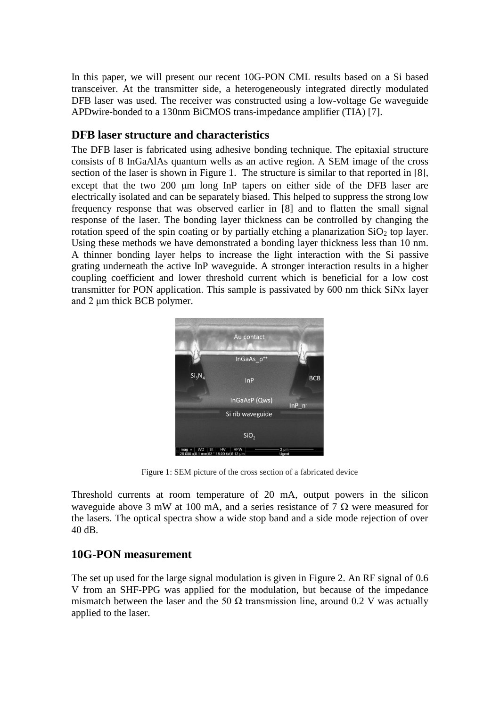In this paper, we will present our recent 10G-PON CML results based on a Si based transceiver. At the transmitter side, a heterogeneously integrated directly modulated DFB laser was used. The receiver was constructed using a low-voltage Ge waveguide APDwire-bonded to a 130nm BiCMOS trans-impedance amplifier (TIA) [7].

## **DFB laser structure and characteristics**

The DFB laser is fabricated using adhesive bonding technique. The epitaxial structure consists of 8 InGaAlAs quantum wells as an active region. A SEM image of the cross section of the laser is shown in Figure 1. The structure is similar to that reported in [8], except that the two 200 µm long InP tapers on either side of the DFB laser are electrically isolated and can be separately biased. This helped to suppress the strong low frequency response that was observed earlier in [8] and to flatten the small signal response of the laser. The bonding layer thickness can be controlled by changing the rotation speed of the spin coating or by partially etching a planarization  $SiO<sub>2</sub>$  top layer. Using these methods we have demonstrated a bonding layer thickness less than 10 nm. A thinner bonding layer helps to increase the light interaction with the Si passive grating underneath the active InP waveguide. A stronger interaction results in a higher coupling coefficient and lower threshold current which is beneficial for a low cost transmitter for PON application. This sample is passivated by 600 nm thick SiNx layer and 2 μm thick BCB polymer.



Figure 1: SEM picture of the cross section of a fabricated device

Threshold currents at room temperature of 20 mA, output powers in the silicon waveguide above 3 mW at 100 mA, and a series resistance of 7  $\Omega$  were measured for the lasers. The optical spectra show a wide stop band and a side mode rejection of over 40 dB.

# **10G-PON measurement**

The set up used for the large signal modulation is given in Figure 2. An RF signal of 0.6 V from an SHF-PPG was applied for the modulation, but because of the impedance mismatch between the laser and the 50  $\Omega$  transmission line, around 0.2 V was actually applied to the laser.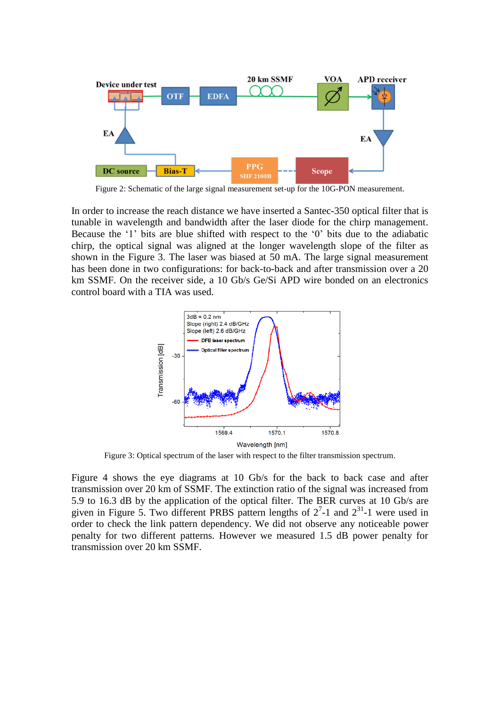

Figure 2: Schematic of the large signal measurement set-up for the 10G-PON measurement.

In order to increase the reach distance we have inserted a Santec-350 optical filter that is tunable in wavelength and bandwidth after the laser diode for the chirp management. Because the '1' bits are blue shifted with respect to the '0' bits due to the adiabatic chirp, the optical signal was aligned at the longer wavelength slope of the filter as shown in the Figure 3. The laser was biased at 50 mA. The large signal measurement has been done in two configurations: for back-to-back and after transmission over a 20 km SSMF. On the receiver side, a 10 Gb/s Ge/Si APD wire bonded on an electronics control board with a TIA was used.



Figure 3: Optical spectrum of the laser with respect to the filter transmission spectrum.

Figure 4 shows the eye diagrams at 10 Gb/s for the back to back case and after transmission over 20 km of SSMF. The extinction ratio of the signal was increased from 5.9 to 16.3 dB by the application of the optical filter. The BER curves at 10 Gb/s are given in Figure 5. Two different PRBS pattern lengths of  $2^7$ -1 and  $2^{31}$ -1 were used in order to check the link pattern dependency. We did not observe any noticeable power penalty for two different patterns. However we measured 1.5 dB power penalty for transmission over 20 km SSMF.